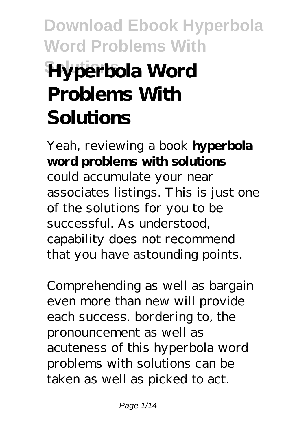# **Download Ebook Hyperbola Word Problems With Hyperbola Word Problems With Solutions**

Yeah, reviewing a book **hyperbola word problems with solutions** could accumulate your near associates listings. This is just one of the solutions for you to be successful. As understood, capability does not recommend that you have astounding points.

Comprehending as well as bargain even more than new will provide each success. bordering to, the pronouncement as well as acuteness of this hyperbola word problems with solutions can be taken as well as picked to act.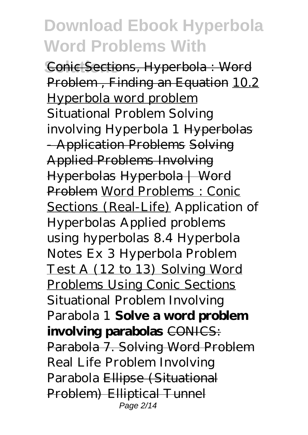**Conic Sections, Hyperbola : Word** Problem, Finding an Equation 10.2 Hyperbola word problem *Situational Problem Solving involving Hyperbola 1* Hyperbolas - Application Problems Solving Applied Problems Involving Hyperbolas Hyperbola | Word Problem Word Problems : Conic Sections (Real-Life) *Application of Hyperbolas Applied problems using hyperbolas 8.4 Hyperbola Notes Ex 3 Hyperbola Problem* Test A (12 to 13) Solving Word Problems Using Conic Sections Situational Problem Involving Parabola 1 **Solve a word problem involving parabolas** CONICS: Parabola 7. Solving Word Problem *Real Life Problem Involving Parabola* Ellipse (Situational Problem) Elliptical Tunnel Page 2/14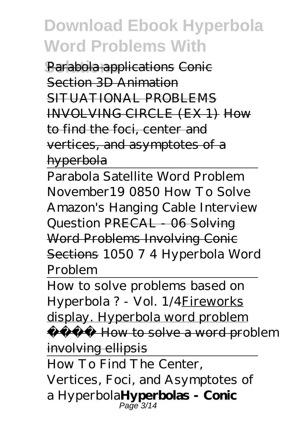**Parabola applications Conic** Section 3D Animation SITUATIONAL PROBLEMS INVOLVING CIRCLE (EX 1) How to find the foci, center and vertices, and asymptotes of a hyperbola

Parabola Satellite Word Problem November19 0850 How To Solve Amazon's Hanging Cable Interview Question PRECAL - 06 Solving Word Problems Involving Conic Sections *1050 7 4 Hyperbola Word Problem*

How to solve problems based on Hyperbola ? - Vol. 1/4Fireworks display. Hyperbola word problem How to solve a word problem involving ellipsis

How To Find The Center,

Vertices, Foci, and Asymptotes of a Hyperbola**Hyperbolas - Conic** Page<sup>-</sup>3/14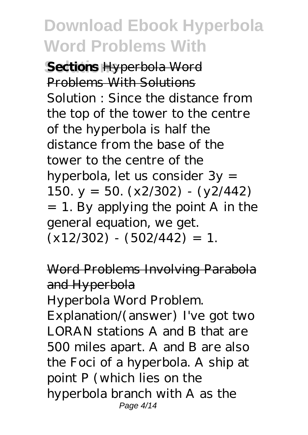**Sections Hyperbola** Word Problems With Solutions Solution : Since the distance from the top of the tower to the centre of the hyperbola is half the distance from the base of the tower to the centre of the hyperbola, let us consider 3y = 150.  $y = 50. (x2/302) - (y2/442)$ = 1. By applying the point A in the general equation, we get.  $(x12/302) - (502/442) = 1.$ 

Word Problems Involving Parabola and Hyperbola

Hyperbola Word Problem.

Explanation/(answer) I've got two LORAN stations A and B that are 500 miles apart. A and B are also the Foci of a hyperbola. A ship at point P (which lies on the hyperbola branch with A as the Page 4/14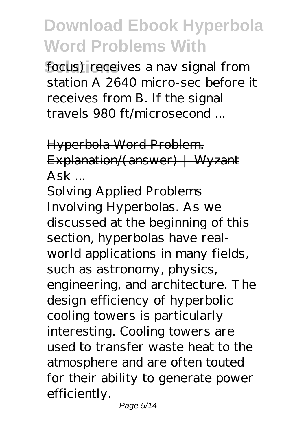focus) receives a nav signal from station A 2640 micro-sec before it receives from B. If the signal travels 980 ft/microsecond ...

Hyperbola Word Problem. Explanation/(answer) | Wyzant  $Ask$  ...

Solving Applied Problems Involving Hyperbolas. As we discussed at the beginning of this section, hyperbolas have realworld applications in many fields, such as astronomy, physics, engineering, and architecture. The design efficiency of hyperbolic cooling towers is particularly interesting. Cooling towers are used to transfer waste heat to the atmosphere and are often touted for their ability to generate power efficiently.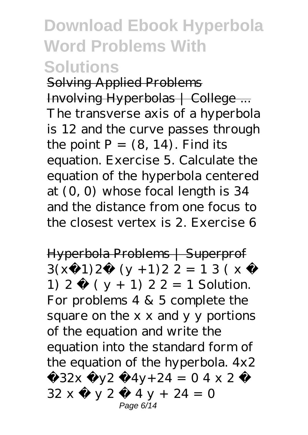Solving Applied Problems Involving Hyperbolas | College ... The transverse axis of a hyperbola is 12 and the curve passes through the point  $P = (8, 14)$ . Find its equation. Exercise 5. Calculate the equation of the hyperbola centered at (0, 0) whose focal length is 34 and the distance from one focus to the closest vertex is 2. Exercise 6

Hyperbola Problems | Superprof  $3(x-1)2-(y+1)22=13(x-$ 1) 2 − ( y + 1) 2 2 = 1 Solution. For problems 4 & 5 complete the square on the x x and y y portions of the equation and write the equation into the standard form of the equation of the hyperbola. 4x2 −32x −y2 −4y+24 = 0 4 x 2 −  $32 x - y 2 - 4 y + 24 = 0$ Page 6/14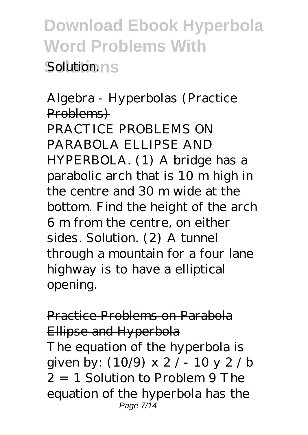**Download Ebook Hyperbola Word Problems With Solution ns** 

Algebra - Hyperbolas (Practice Problems) PRACTICE PROBLEMS ON PARABOLA ELLIPSE AND HYPERBOLA. (1) A bridge has a parabolic arch that is 10 m high in the centre and 30 m wide at the bottom. Find the height of the arch 6 m from the centre, on either sides. Solution. (2) A tunnel through a mountain for a four lane highway is to have a elliptical opening.

#### Practice Problems on Parabola Ellipse and Hyperbola

The equation of the hyperbola is given by: (10/9) x 2 / - 10 y 2 / b  $2 = 1$  Solution to Problem 9 The equation of the hyperbola has the Page 7/14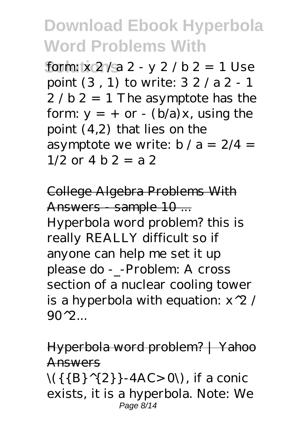form:  $x \frac{2}{a} 2 - y \frac{2}{b} 2 = 1$  Use point (3 , 1) to write: 3 2 / a 2 - 1  $2/b$   $2 = 1$  The asymptote has the form:  $y = +$  or  $-$  (b/a) x, using the point (4,2) that lies on the asymptote we write:  $b / a = 2/4 =$  $1/2$  or  $4 b 2 = a 2$ 

College Algebra Problems With Answers sample 10... Hyperbola word problem? this is really REALLY difficult so if anyone can help me set it up please do -\_-Problem: A cross section of a nuclear cooling tower is a hyperbola with equation:  $x^2 /$  $90^{\circ}2$ .

#### Hyperbola word problem? | Yahoo Answers

 $\setminus$ {{B}<sup>^{</sup>{2}}-4AC>0\), if a conic exists, it is a hyperbola. Note: We Page 8/14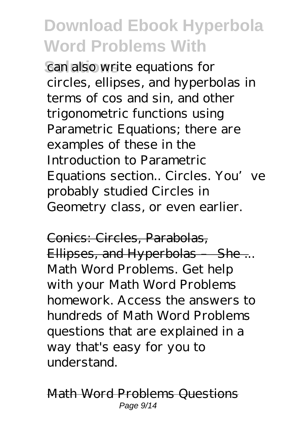can also write equations for circles, ellipses, and hyperbolas in terms of cos and sin, and other trigonometric functions using Parametric Equations; there are examples of these in the Introduction to Parametric Equations section.. Circles. You've probably studied Circles in Geometry class, or even earlier.

Conics: Circles, Parabolas, Ellipses, and Hyperbolas She... Math Word Problems. Get help with your Math Word Problems homework. Access the answers to hundreds of Math Word Problems questions that are explained in a way that's easy for you to understand.

Math Word Problems Questions Page 9/14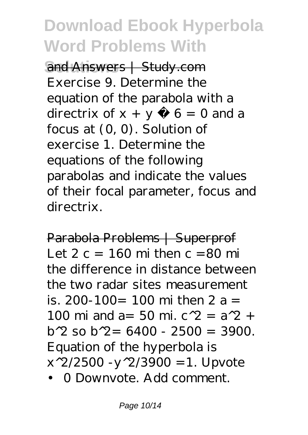**Solutions** and Answers | Study.com Exercise 9. Determine the equation of the parabola with a directrix of  $x + y - 6 = 0$  and a focus at (0, 0). Solution of exercise 1. Determine the equations of the following parabolas and indicate the values of their focal parameter, focus and directrix.

Parabola Problems | Superprof Let  $2 c = 160$  mi then  $c = 80$  mi the difference in distance between the two radar sites measurement is. 200-100= 100 mi then 2 a = 100 mi and a= 50 mi.  $c^{2} = a^{2} + b^{2}$  $h^2$  so  $h^2 = 6400 - 2500 = 3900$ . Equation of the hyperbola is  $x^2/2500 -y^2/3900 = 1$ . Upvote

• 0 Downvote. Add comment.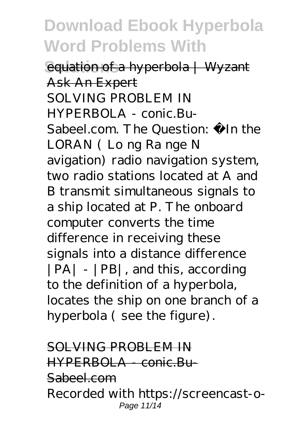**Solution of a hyperbola | Wyzant** Ask An Expert SOLVING PROBLEM IN HYPERBOLA - conic.Bu-Sabeel.com. The Question: In the LORAN ( Lo ng Ra nge N avigation) radio navigation system, two radio stations located at A and B transmit simultaneous signals to a ship located at P. The onboard computer converts the time difference in receiving these signals into a distance difference |PA| - |PB|, and this, according to the definition of a hyperbola, locates the ship on one branch of a hyperbola ( see the figure).

#### SOLVING PROBLEM IN HYPERBOLA - conic.Bu-Sabeel.com Recorded with https://screencast-o-Page 11/14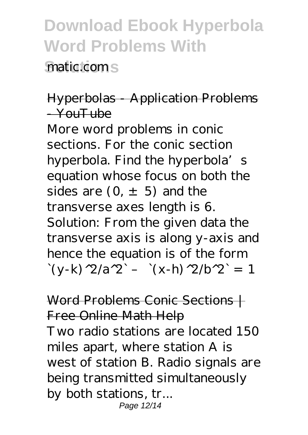**Solutions** matic.com

#### Hyperbolas - Application Problems  $-V$  $\omega$ uTube

More word problems in conic sections. For the conic section hyperbola. Find the hyperbola's equation whose focus on both the sides are  $(0, \pm 5)$  and the transverse axes length is 6. Solution: From the given data the transverse axis is along y-axis and hence the equation is of the form  $\left(y-k\right)^{1/2}/a^{1/2}$  –  $\left(y-k\right)^{1/2}/b^{1/2} = 1$ 

Word Problems Conic Sections | Free Online Math Help Two radio stations are located 150 miles apart, where station A is west of station B. Radio signals are being transmitted simultaneously by both stations, tr... Page 12/14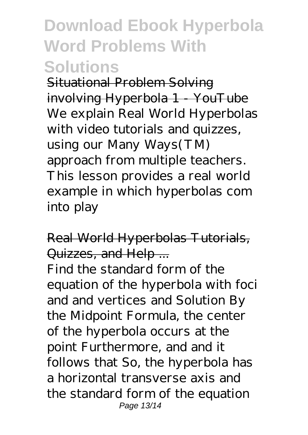Situational Problem Solving involving Hyperbola 1 YouTube We explain Real World Hyperbolas with video tutorials and quizzes, using our Many Ways(TM) approach from multiple teachers. This lesson provides a real world example in which hyperbolas com into play

#### Real World Hyperbolas Tutorials, Quizzes, and Help ...

Find the standard form of the equation of the hyperbola with foci and and vertices and Solution By the Midpoint Formula, the center of the hyperbola occurs at the point Furthermore, and and it follows that So, the hyperbola has a horizontal transverse axis and the standard form of the equation Page 13/14